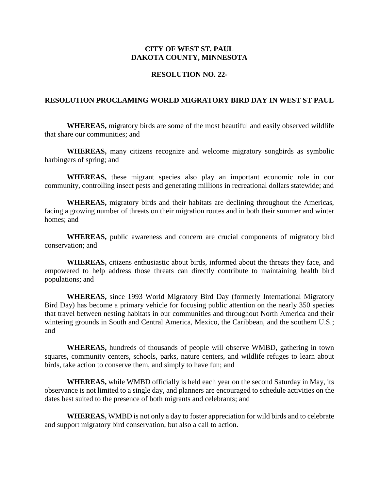## **CITY OF WEST ST. PAUL DAKOTA COUNTY, MINNESOTA**

## **RESOLUTION NO. 22-**

## **RESOLUTION PROCLAMING WORLD MIGRATORY BIRD DAY IN WEST ST PAUL**

**WHEREAS,** migratory birds are some of the most beautiful and easily observed wildlife that share our communities; and

**WHEREAS,** many citizens recognize and welcome migratory songbirds as symbolic harbingers of spring; and

**WHEREAS,** these migrant species also play an important economic role in our community, controlling insect pests and generating millions in recreational dollars statewide; and

**WHEREAS,** migratory birds and their habitats are declining throughout the Americas, facing a growing number of threats on their migration routes and in both their summer and winter homes; and

**WHEREAS,** public awareness and concern are crucial components of migratory bird conservation; and

**WHEREAS,** citizens enthusiastic about birds, informed about the threats they face, and empowered to help address those threats can directly contribute to maintaining health bird populations; and

**WHEREAS,** since 1993 World Migratory Bird Day (formerly International Migratory Bird Day) has become a primary vehicle for focusing public attention on the nearly 350 species that travel between nesting habitats in our communities and throughout North America and their wintering grounds in South and Central America, Mexico, the Caribbean, and the southern U.S.; and

**WHEREAS,** hundreds of thousands of people will observe WMBD, gathering in town squares, community centers, schools, parks, nature centers, and wildlife refuges to learn about birds, take action to conserve them, and simply to have fun; and

**WHEREAS,** while WMBD officially is held each year on the second Saturday in May, its observance is not limited to a single day, and planners are encouraged to schedule activities on the dates best suited to the presence of both migrants and celebrants; and

**WHEREAS,** WMBD is not only a day to foster appreciation for wild birds and to celebrate and support migratory bird conservation, but also a call to action.